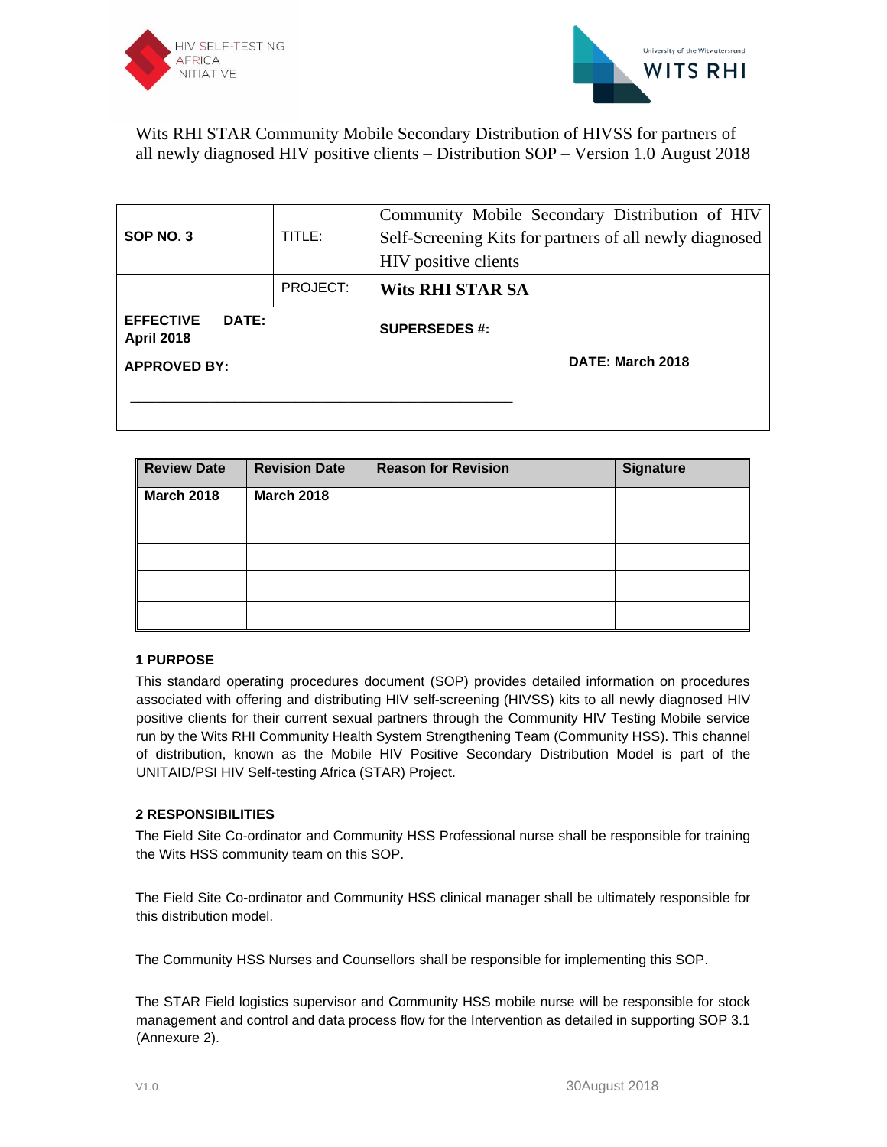



| SOP NO. 3                             |                  | TITLE:   | Community Mobile Secondary Distribution of HIV<br>Self-Screening Kits for partners of all newly diagnosed<br>HIV positive clients |
|---------------------------------------|------------------|----------|-----------------------------------------------------------------------------------------------------------------------------------|
|                                       |                  | PROJECT: | <b>Wits RHI STAR SA</b>                                                                                                           |
| <b>EFFECTIVE</b><br><b>April 2018</b> | DATE:            |          | <b>SUPERSEDES #:</b>                                                                                                              |
| <b>APPROVED BY:</b>                   | DATE: March 2018 |          |                                                                                                                                   |
|                                       |                  |          |                                                                                                                                   |

| <b>Review Date</b> | <b>Revision Date</b> | <b>Reason for Revision</b> | <b>Signature</b> |
|--------------------|----------------------|----------------------------|------------------|
| March 2018         | <b>March 2018</b>    |                            |                  |
|                    |                      |                            |                  |
|                    |                      |                            |                  |
|                    |                      |                            |                  |
|                    |                      |                            |                  |

## **1 PURPOSE**

This standard operating procedures document (SOP) provides detailed information on procedures associated with offering and distributing HIV self-screening (HIVSS) kits to all newly diagnosed HIV positive clients for their current sexual partners through the Community HIV Testing Mobile service run by the Wits RHI Community Health System Strengthening Team (Community HSS). This channel of distribution, known as the Mobile HIV Positive Secondary Distribution Model is part of the UNITAID/PSI HIV Self-testing Africa (STAR) Project.

## **2 RESPONSIBILITIES**

The Field Site Co-ordinator and Community HSS Professional nurse shall be responsible for training the Wits HSS community team on this SOP.

The Field Site Co-ordinator and Community HSS clinical manager shall be ultimately responsible for this distribution model.

The Community HSS Nurses and Counsellors shall be responsible for implementing this SOP.

The STAR Field logistics supervisor and Community HSS mobile nurse will be responsible for stock management and control and data process flow for the Intervention as detailed in supporting SOP 3.1 (Annexure 2).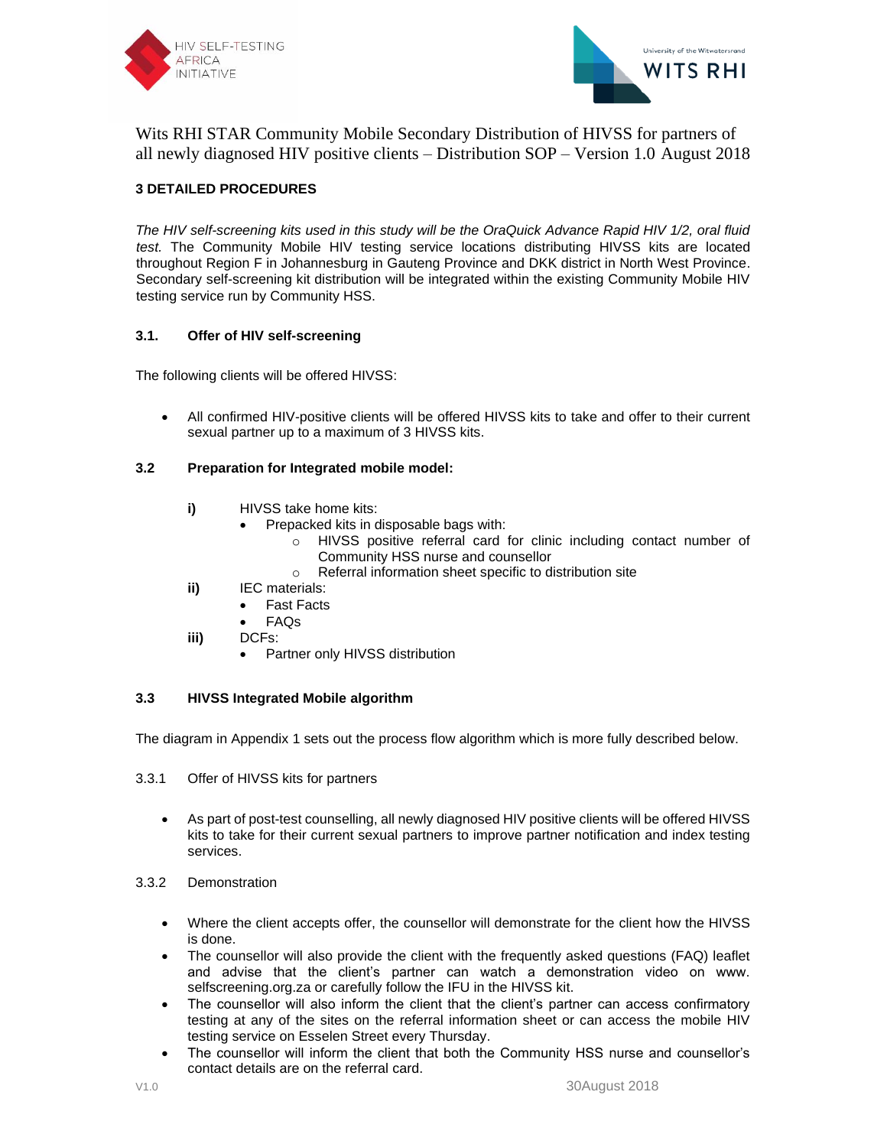



# **3 DETAILED PROCEDURES**

*The HIV self-screening kits used in this study will be the OraQuick Advance Rapid HIV 1/2, oral fluid test.* The Community Mobile HIV testing service locations distributing HIVSS kits are located throughout Region F in Johannesburg in Gauteng Province and DKK district in North West Province. Secondary self-screening kit distribution will be integrated within the existing Community Mobile HIV testing service run by Community HSS.

#### **3.1. Offer of HIV self-screening**

The following clients will be offered HIVSS:

• All confirmed HIV-positive clients will be offered HIVSS kits to take and offer to their current sexual partner up to a maximum of 3 HIVSS kits.

#### **3.2 Preparation for Integrated mobile model:**

- **i)** HIVSS take home kits:
	- Prepacked kits in disposable bags with:
		- o HIVSS positive referral card for clinic including contact number of Community HSS nurse and counsellor
		- o Referral information sheet specific to distribution site
- **ii)** IEC materials:
	- **Fast Facts**
	- FAQs
- **iii)** DCFs:
	- Partner only HIVSS distribution

## **3.3 HIVSS Integrated Mobile algorithm**

The diagram in Appendix 1 sets out the process flow algorithm which is more fully described below.

- 3.3.1 Offer of HIVSS kits for partners
	- As part of post-test counselling, all newly diagnosed HIV positive clients will be offered HIVSS kits to take for their current sexual partners to improve partner notification and index testing services.
- 3.3.2 Demonstration
	- Where the client accepts offer, the counsellor will demonstrate for the client how the HIVSS is done.
	- The counsellor will also provide the client with the frequently asked questions (FAQ) leaflet and advise that the client's partner can watch a demonstration video on www. selfscreening.org.za or carefully follow the IFU in the HIVSS kit.
	- The counsellor will also inform the client that the client's partner can access confirmatory testing at any of the sites on the referral information sheet or can access the mobile HIV testing service on Esselen Street every Thursday.
	- The counsellor will inform the client that both the Community HSS nurse and counsellor's contact details are on the referral card.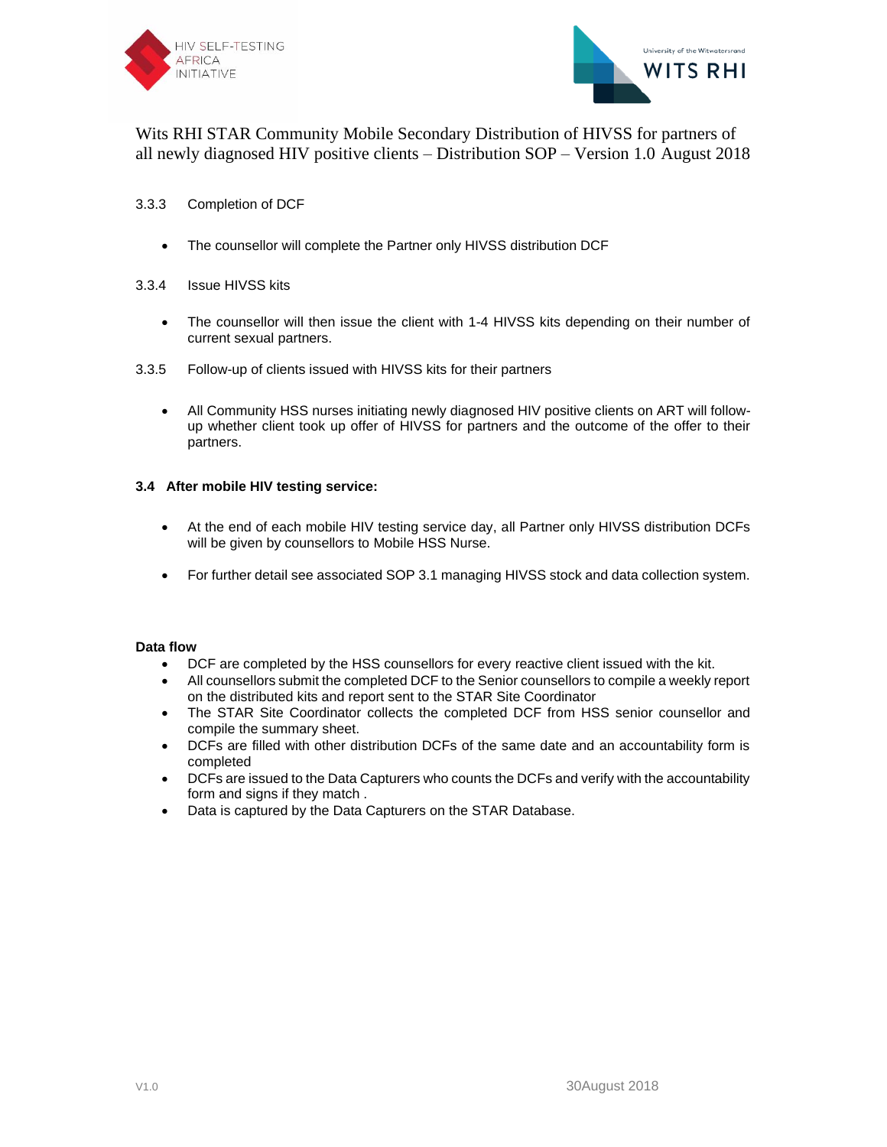



#### 3.3.3 Completion of DCF

• The counsellor will complete the Partner only HIVSS distribution DCF

#### 3.3.4 Issue HIVSS kits

- The counsellor will then issue the client with 1-4 HIVSS kits depending on their number of current sexual partners.
- 3.3.5 Follow-up of clients issued with HIVSS kits for their partners
	- All Community HSS nurses initiating newly diagnosed HIV positive clients on ART will followup whether client took up offer of HIVSS for partners and the outcome of the offer to their partners.

## **3.4 After mobile HIV testing service:**

- At the end of each mobile HIV testing service day, all Partner only HIVSS distribution DCFs will be given by counsellors to Mobile HSS Nurse.
- For further detail see associated SOP 3.1 managing HIVSS stock and data collection system.

#### **Data flow**

- DCF are completed by the HSS counsellors for every reactive client issued with the kit.
- All counsellors submit the completed DCF to the Senior counsellors to compile a weekly report on the distributed kits and report sent to the STAR Site Coordinator
- The STAR Site Coordinator collects the completed DCF from HSS senior counsellor and compile the summary sheet.
- DCFs are filled with other distribution DCFs of the same date and an accountability form is completed
- DCFs are issued to the Data Capturers who counts the DCFs and verify with the accountability form and signs if they match .
- Data is captured by the Data Capturers on the STAR Database.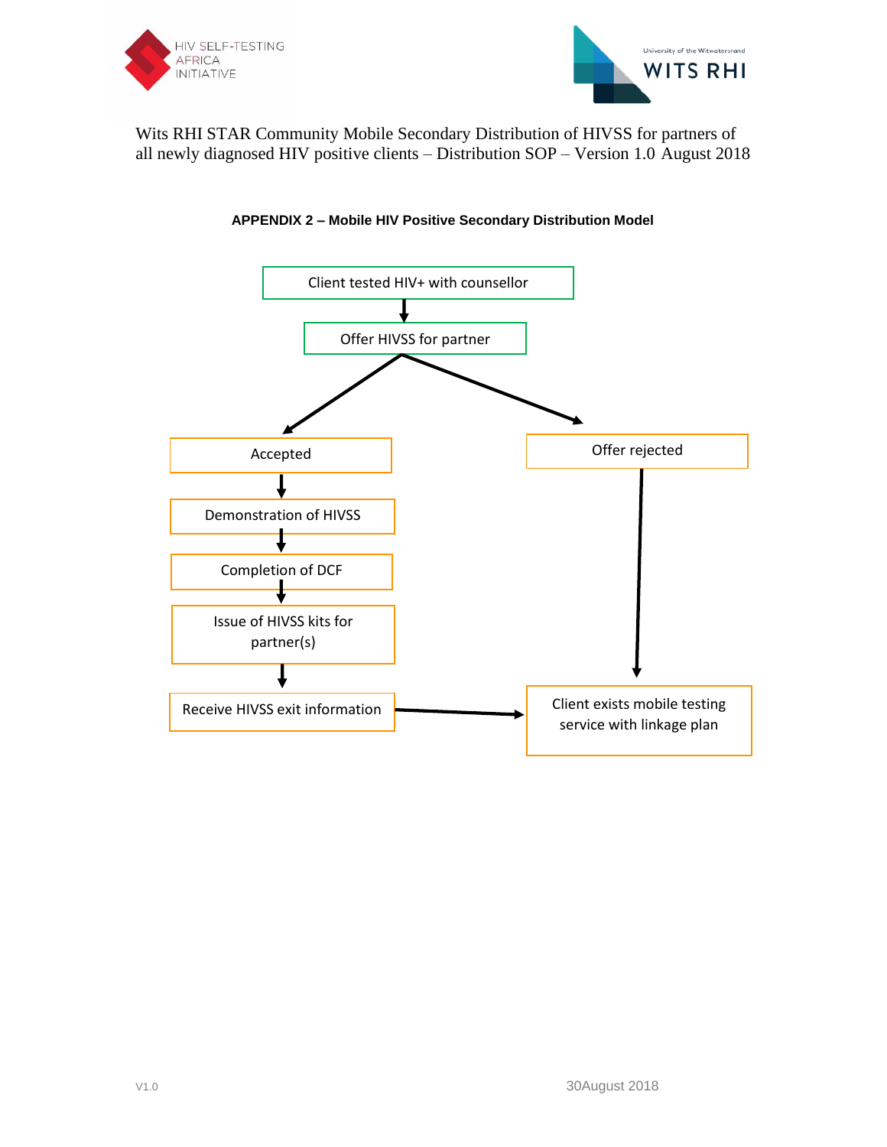





# **APPENDIX 2 – Mobile HIV Positive Secondary Distribution Model**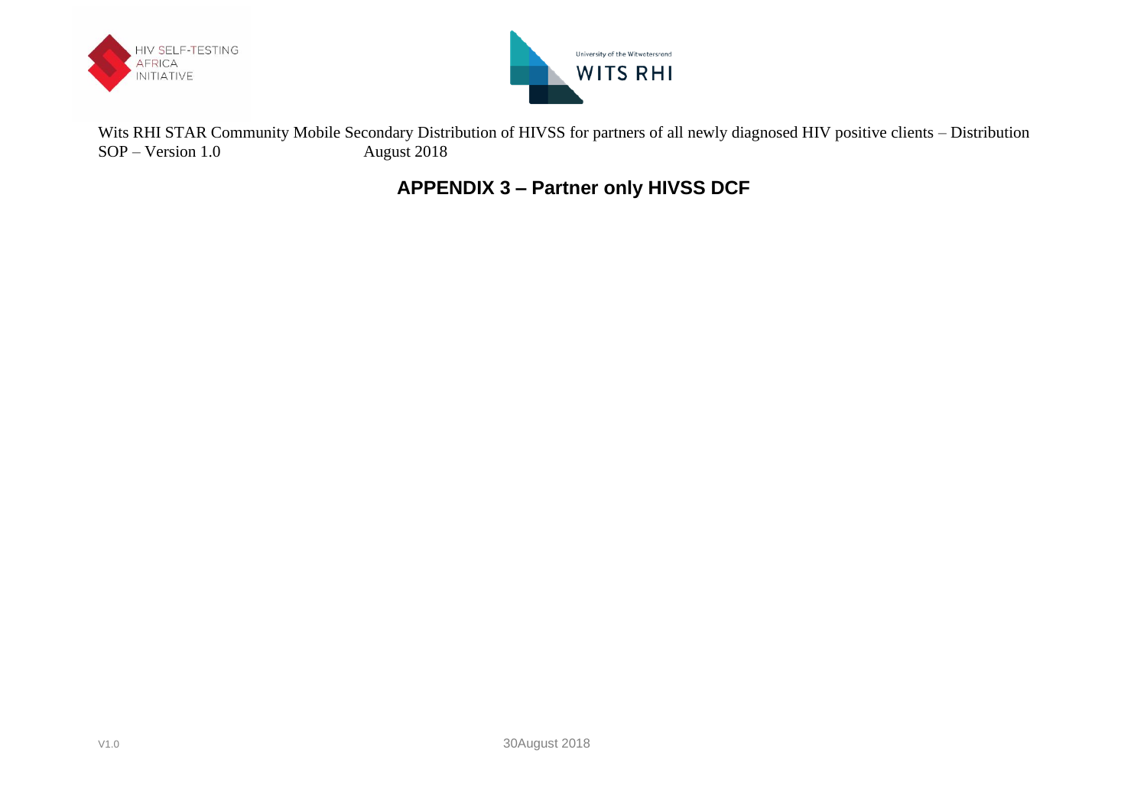



**APPENDIX 3 – Partner only HIVSS DCF**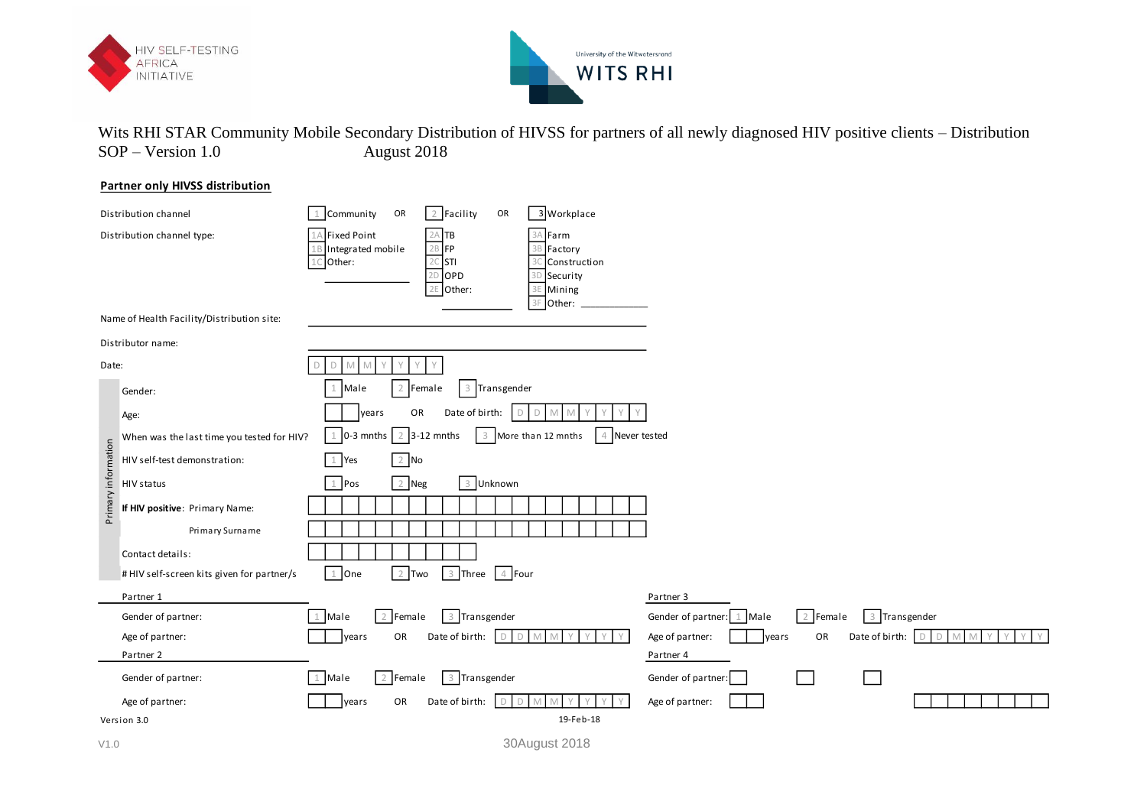



## **Partner only HIVSS distribution**

|                     | Distribution channel                       | 3 Workplace<br>2 Facility<br>1 Community<br>OR<br>OR                                                                                                                                       |                                                           |
|---------------------|--------------------------------------------|--------------------------------------------------------------------------------------------------------------------------------------------------------------------------------------------|-----------------------------------------------------------|
|                     | Distribution channel type:                 | A Fixed Point<br>$2A$ TB<br>3A Farm<br>2B FP<br>Integrated mobile<br>Factory<br>$2C$ STI<br>3C Construction<br>Other:<br>$2D$ OPD<br>3D Security<br>2E Other:<br>Mining<br>3E<br>3F Other: |                                                           |
|                     | Name of Health Facility/Distribution site: |                                                                                                                                                                                            |                                                           |
|                     | Distributor name:                          |                                                                                                                                                                                            |                                                           |
| Date:               |                                            | Y<br>$\Box$<br>M<br>M                                                                                                                                                                      |                                                           |
|                     | Gender:                                    | Male<br>2 Female<br>3 Transgender                                                                                                                                                          |                                                           |
|                     | Age:                                       | Date of birth:<br>OR<br>years<br>D<br>D<br>M<br>M                                                                                                                                          |                                                           |
|                     | When was the last time you tested for HIV? | 2 3-12 mnths<br>$1$ 0-3 mnths<br>3 More than 12 mnths<br>4 Never tested                                                                                                                    |                                                           |
| Primary information | HIV self-test demonstration:               | $2$ No<br>1 Yes                                                                                                                                                                            |                                                           |
|                     | HIV status                                 | $2$ Neg<br>$1$ Pos<br>3 Unknown                                                                                                                                                            |                                                           |
|                     | If HIV positive: Primary Name:             |                                                                                                                                                                                            |                                                           |
|                     | Primary Surname                            |                                                                                                                                                                                            |                                                           |
|                     | Contact details:                           |                                                                                                                                                                                            |                                                           |
|                     | # HIV self-screen kits given for partner/s | 3 Three 4 Four<br>2 Two<br>$1$ One                                                                                                                                                         |                                                           |
|                     | Partner 1                                  |                                                                                                                                                                                            | Partner 3                                                 |
|                     | Gender of partner:                         | 3 Transgender<br>2 Female<br>1 Male                                                                                                                                                        | 2 Female<br>3 Transgender<br>1 Male<br>Gender of partner: |
|                     | Age of partner:                            | Date of birth:<br>$\Box$<br>OR<br>years<br>D<br>$M_{\odot}$                                                                                                                                | Date of birth: D D<br>Age of partner:<br>OR<br>years<br>M |
|                     | Partner 2                                  |                                                                                                                                                                                            | Partner 4                                                 |
|                     | Gender of partner:                         | 2 Female<br>3 Transgender<br>1 Male                                                                                                                                                        | Gender of partner:                                        |
|                     | Age of partner:                            | OR<br>Date of birth:<br>years<br>D<br>M                                                                                                                                                    | Age of partner:                                           |
|                     | Version 3.0                                | 19-Feb-18                                                                                                                                                                                  |                                                           |
| V1.0                |                                            | 30August 2018                                                                                                                                                                              |                                                           |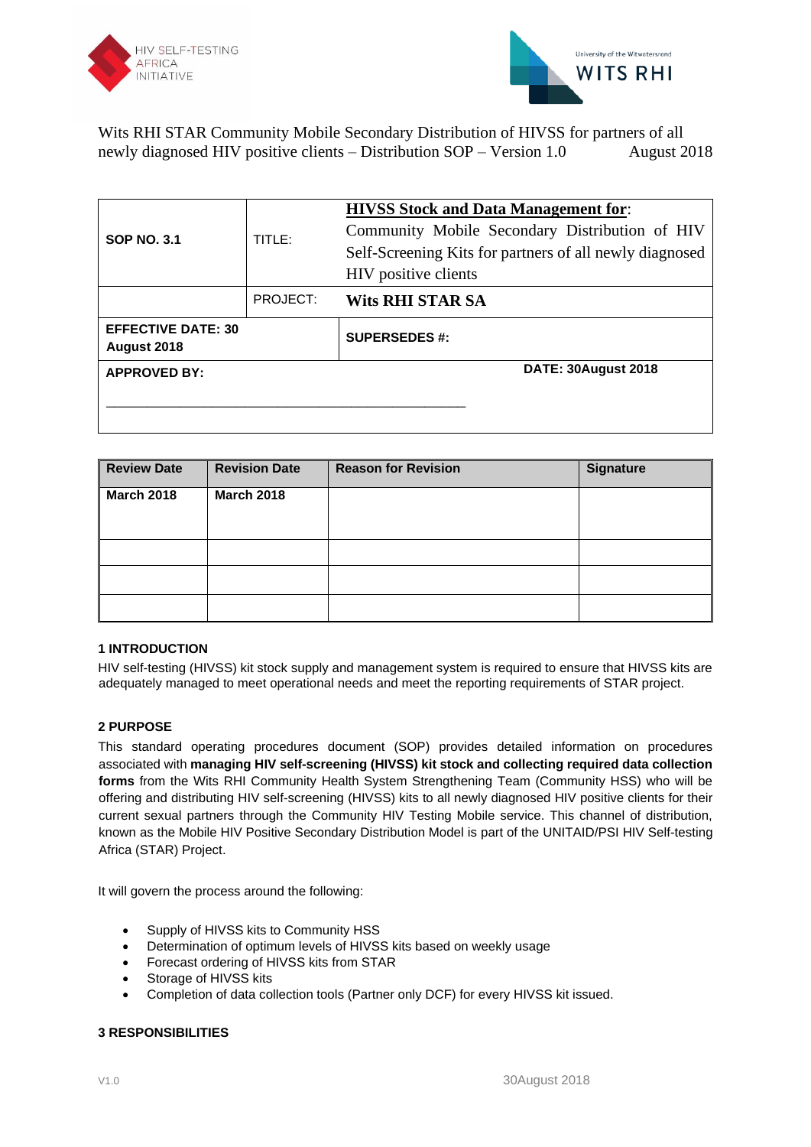



| TITLE:<br><b>SOP NO. 3.1</b>             |          | <b>HIVSS Stock and Data Management for:</b><br>Community Mobile Secondary Distribution of HIV<br>Self-Screening Kits for partners of all newly diagnosed<br>HIV positive clients |  |
|------------------------------------------|----------|----------------------------------------------------------------------------------------------------------------------------------------------------------------------------------|--|
|                                          | PROJECT: | <b>Wits RHI STAR SA</b>                                                                                                                                                          |  |
| <b>EFFECTIVE DATE: 30</b><br>August 2018 |          | <b>SUPERSEDES #:</b>                                                                                                                                                             |  |
| <b>APPROVED BY:</b>                      |          | DATE: 30August 2018                                                                                                                                                              |  |
|                                          |          |                                                                                                                                                                                  |  |

| <b>Review Date</b> | <b>Revision Date</b> | <b>Reason for Revision</b> | <b>Signature</b> |
|--------------------|----------------------|----------------------------|------------------|
| <b>March 2018</b>  | <b>March 2018</b>    |                            |                  |
|                    |                      |                            |                  |
|                    |                      |                            |                  |
|                    |                      |                            |                  |
|                    |                      |                            |                  |

# **1 INTRODUCTION**

HIV self-testing (HIVSS) kit stock supply and management system is required to ensure that HIVSS kits are adequately managed to meet operational needs and meet the reporting requirements of STAR project.

## **2 PURPOSE**

This standard operating procedures document (SOP) provides detailed information on procedures associated with **managing HIV self-screening (HIVSS) kit stock and collecting required data collection forms** from the Wits RHI Community Health System Strengthening Team (Community HSS) who will be offering and distributing HIV self-screening (HIVSS) kits to all newly diagnosed HIV positive clients for their current sexual partners through the Community HIV Testing Mobile service. This channel of distribution, known as the Mobile HIV Positive Secondary Distribution Model is part of the UNITAID/PSI HIV Self-testing Africa (STAR) Project.

It will govern the process around the following:

- Supply of HIVSS kits to Community HSS
- Determination of optimum levels of HIVSS kits based on weekly usage
- Forecast ordering of HIVSS kits from STAR
- Storage of HIVSS kits
- Completion of data collection tools (Partner only DCF) for every HIVSS kit issued.

## **3 RESPONSIBILITIES**